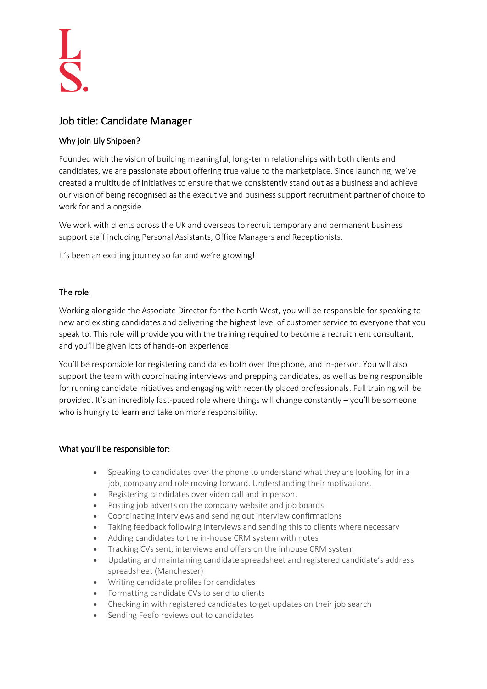# Job title: Candidate Manager

# Why join Lily Shippen?

Founded with the vision of building meaningful, long-term relationships with both clients and candidates, we are passionate about offering true value to the marketplace. Since launching, we've created a multitude of initiatives to ensure that we consistently stand out as a business and achieve our vision of being recognised as the executive and business support recruitment partner of choice to work for and alongside.

We work with clients across the UK and overseas to recruit temporary and permanent business support staff including Personal Assistants, Office Managers and Receptionists.

It's been an exciting journey so far and we're growing!

## The role:

Working alongside the Associate Director for the North West, you will be responsible for speaking to new and existing candidates and delivering the highest level of customer service to everyone that you speak to. This role will provide you with the training required to become a recruitment consultant, and you'll be given lots of hands-on experience.

You'll be responsible for registering candidates both over the phone, and in-person. You will also support the team with coordinating interviews and prepping candidates, as well as being responsible for running candidate initiatives and engaging with recently placed professionals. Full training will be provided. It's an incredibly fast-paced role where things will change constantly – you'll be someone who is hungry to learn and take on more responsibility.

#### What you'll be responsible for:

- Speaking to candidates over the phone to understand what they are looking for in a job, company and role moving forward. Understanding their motivations.
- Registering candidates over video call and in person.
- Posting job adverts on the company website and job boards
- Coordinating interviews and sending out interview confirmations
- Taking feedback following interviews and sending this to clients where necessary
- Adding candidates to the in-house CRM system with notes
- Tracking CVs sent, interviews and offers on the inhouse CRM system
- Updating and maintaining candidate spreadsheet and registered candidate's address spreadsheet (Manchester)
- Writing candidate profiles for candidates
- Formatting candidate CVs to send to clients
- Checking in with registered candidates to get updates on their job search
- Sending Feefo reviews out to candidates